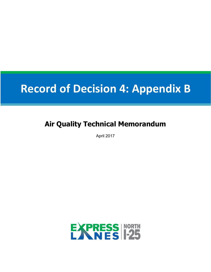# **Record of Decision 4: Appendix B**

# **Air Quality Technical Memorandum**

April 2017

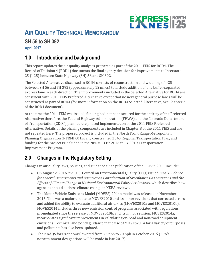

# **AIR QUALITY TECHNICAL MEMORANDUM**

# **SH 56 to SH 392**

#### **April 2017**

# **1.0 Introduction and background**

This report updates the air quality analyses prepared as part of the 2011 FEIS for ROD4. The Record of Decision 4 (ROD4) documents the final agency decision for improvements to Interstate 25 (I-25) between State Highway (SH) 56 and SH 392.

The Selected Alternative discussed in ROD4 consists of reconstruction and widening of I-25 between SH 56 and SH 392 (approximately 12 miles) to include addition of one buffer-separated express lane in each direction. The improvements included in the Selected Alternative for ROD4 are consistent with 2011 FEIS Preferred Alternative except that no new general purpose lanes will be constructed as part of ROD4 (for more information on the ROD4 Selected Alternative, See Chapter 2 of the ROD4 document).

At the time the 2011 FEIS was issued, funding had not been secured for the entirety of the Preferred Alternative; therefore, the Federal Highway Administration (FHWA) and the Colorado Department of Transportation (CDOT) planned the phased implementation of the 2011 FEIS Preferred Alternative. Details of the phasing components are included in Chapter 8 of the 2011 FEIS and are not repeated here. The proposed project is included in the North Front Range Metropolitan Planning Organization (NFRMPO) fiscally constrained 2040 Regional Transportation Plan, and funding for the project is included in the NFRMPO FY 2016 to FY 2019 Transportation Improvement Program.

# **2.0 Changes in the Regulatory Setting**

Changes in air quality laws, policies, and guidance since publication of the FEIS in 2011 include:

- On August 2, 2016, the U. S. Council on Environmental Quality (CEQ) issued *Final Guidance for Federal Departments and Agencies on Consideration of Greenhouse Gas Emissions and the Effects of Climate Change in National Environmental Policy Act Reviews*, which describes how agencies should address climate change in NEPA reviews.
- The Motor Vehicle Emissions Model (MOVES) 2014a model was released in November 2015. This was a major update to MOVES2010 and its minor revisions that corrected errors and added the ability to evaluate additional air toxics (MOVES2010a and MOVES2010b). MOVES2014 includes three new emission control programs associated with regulations promulgated since the release of MOVES2010b, and its minor revision, MOVES2014a, incorporates significant improvements in calculating on-road and non-road equipment emissions. Technical and policy guidance in the use of MOVES2014 for a variety of purposes and pollutants has also been updated.
- The NAAQS for Ozone was lowered from 75 ppb to 70 ppb in October 2015 (EPA's nonattainment designations will be made in late 2017).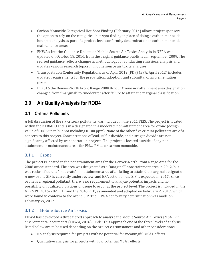- Carbon Monoxide Categorical Hot-Spot Finding (February 2014) allows project sponsors the option to rely on the categorical hot-spot finding in place of doing a carbon monoxide hot-spot analysis as part of a project-level conformity determination in carbon monoxide maintenance areas.
- FHWA's Interim Guidance Update on Mobile Source Air Toxics Analysis in NEPA was updated on October 18, 2016, from the original guidance published in September 2009. The revised guidance reflects changes in methodology for conducting emissions analysis and updates various research topics in mobile source air toxics analyses.
- Transportation Conformity Regulations as of April 2012 (PDF) (EPA, April 2012) includes updated requirements for the preparation, adoption, and submittal of implementation plans.
- In 2016 the Denver-North Front Range 2008 8-hour Ozone nonattainment area designation changed from "marginal" to "moderate" after failure to attain the marginal classification.

# **3.0 Air Quality Analysis for ROD4**

### **3.1 Criteria Pollutants**

A full discussion of the six criteria pollutants was included in the 2011 FEIS. The project is located within the NFRMPO and is in a designated in a moderate non-attainment area for ozone (design value of 0.086 up to but not including 0.100 ppm). None of the other five criteria pollutants are of a concern to this project. Concentrations of lead, sulfur dioxide, and nitrogen dioxide are not significantly affected by transportation projects. The project is located outside of any nonattainment or maintenance areas for  $PM_{10}$ ,  $PM_{2.5}$ , or carbon monoxide.

#### 3.1.1 Ozone

The project is located in the nonattainment area for the Denver-North Front Range Area for the 2008 ozone standard. The area was designated as a "marginal" nonattainment area in 2012, but was reclassified to a "moderate" nonattainment area after failing to attain the marginal designation. A new ozone SIP is currently under review, and EPA action on the SIP is expected in 2017. Since ozone is a regional pollutant, there is no requirement to analyze potential impacts and no possibility of localized violations of ozone to occur at the project level. The project is included in the NFRMPO 2016–2021 TIP and the 2040 RTP, as amended and adopted on February 2, 2017, which were found to conform to the ozone SIP. The FHWA conformity determination was made on February xx, 2017.

#### 3.1.2 Mobile Source Air Toxics

FHWA has developed a three tiered approach to analyze the Mobile Source Air Toxics (MSAT) in environmental documents (FHWA, 2016). Under this approach one of the three levels of analysis listed below are to be used depending on the project circumstances and other considerations.

- No analysis required for projects with no potential for meaningful MSAT effects
- Qualitative analysis for projects with low potential MSAT effects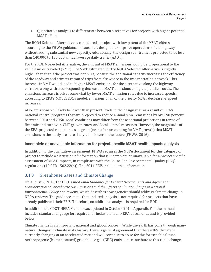Quantitative analysis to differentiate between alternatives for projects with higher potential MSAT effects

The ROD4 Selected Alternative is considered a project with low potential for MSAT effects according to the FHWA guidance because it is designed to improve operations of the highway without adding substantial new capacity. Additionally, the design year traffic is projected to be less than 140,000 to 150,000 annual average daily traffic (AADT).

For the ROD4 Selected Alternative, the amount of MSAT emissions would be proportional to the vehicle miles traveled (VMT). The VMT estimated for the ROD4 Selected Alternative is slightly higher than that if the project was not built, because the additional capacity increases the efficiency of the roadway and attracts rerouted trips from elsewhere in the transportation network. This increase in VMT would lead to higher MSAT emissions for the alternative along the highway corridor, along with a corresponding decrease in MSAT emissions along the parallel routes. The emissions increase is offset somewhat by lower MSAT emission rates due to increased speeds; according to EPA's MOVES2014 model, emissions of all of the priority MSAT decrease as speed increases.

Also, emissions will likely be lower than present levels in the design year as a result of EPA's national control programs that are projected to reduce annual MSAT emissions by over 90 percent between 2010 and 2050. Local conditions may differ from these national projections in terms of fleet mix and turnover, VMT growth rates, and local control measures. However, the magnitude of the EPA-projected reductions is so great (even after accounting for VMT growth) that MSAT emissions in the study area are likely to be lower in the future (FHWA, 2016).

#### **Incomplete or unavailable information for project-specific MSAT health impacts analysis**

In addition to the qualitative assessment, FHWA requires the NEPA document for this category of project to include a discussion of information that is incomplete or unavailable for a project specific assessment of MSAT impacts, in compliance with the Council on Environmental Quality (CEQ) regulations (40 CFR 1502.22(b)). The 2011 FEIS included this information.

#### 3.1.3 Greenhouse Gases and Climate Change

On August 2, 2016, the CEQ issued *Final Guidance for Federal Departments and Agencies on Consideration of Greenhouse Gas Emissions and the Effects of Climate Change in National Environmental Policy Act Reviews*, which describes how agencies should address climate change in NEPA reviews. The guidance states that updated analysis is not required for projects that have already published their FEIS. Therefore, no additional analysis is required for ROD4.

In addition, the CDOT NEPA Manual was updated in October, 2014. Appendix F of the manual includes standard language for required for inclusion in all NEPA documents, and is provided below.

Climate change is an important national and global concern. While the earth has gone through many natural changes in climate in its history, there is general agreement that the earth's climate is currently changing at an accelerated rate and will continue to do so for the foreseeable future. Anthropogenic (human-caused) greenhouse gas (GHG) emissions contribute to this rapid change.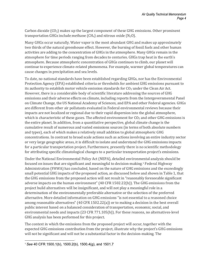Carbon dioxide  $(CO_2)$  makes up the largest component of these GHG emissions. Other prominent transportation GHGs include methane (CH<sub>4</sub>) and nitrous oxide (N<sub>2</sub>O).

Many GHGs occur naturally. Water vapor is the most abundant GHG and makes up approximately two thirds of the natural greenhouse effect. However, the burning of fossil fuels and other human activities are adding to the concentration of GHGs in the atmosphere. Many GHGs remain in the atmosphere for time periods ranging from decades to centuries. GHGs trap heat in the earth's atmosphere. Because atmospheric concentration of GHGs continues to climb, our planet will continue to experience climate-related phenomena. For example, warmer global temperatures can cause changes in precipitation and sea levels.

To date, no national standards have been established regarding GHGs, nor has the Environmental Protection Agency (EPA) established criteria or thresholds for ambient GHG emissions pursuant to its authority to establish motor vehicle emission standards for  $CO<sub>2</sub>$  under the Clean Air Act. However, there is a considerable body of scientific literature addressing the sources of GHG emissions and their adverse effects on climate, including reports from the Intergovernmental Panel on Climate Change, the US National Academy of Sciences, and EPA and other Federal agencies. GHGs are different from other air pollutants evaluated in Federal environmental reviews because their impacts are not localized or regional due to their rapid dispersion into the global atmosphere, which is characteristic of these gases. The affected environment for  $CO<sub>2</sub>$  and other GHG emissions is the entire planet. In addition, from a quantitative perspective, global climate change is the cumulative result of numerous and varied emissions sources (in terms of both absolute numbers and types), each of which makes a relatively small addition to global atmospheric GHG concentrations. In contrast to broad scale actions such as actions involving an entire industry sector or very large geographic areas, it is difficult to isolate and understand the GHG emissions impacts for a particular transportation project. Furthermore, presently there is no scientific methodology for attributing specific climatological changes to a particular transportation project's emissions.

Under the National Environmental Policy Act (NEPA), detailed environmental analysis should be focused on issues that are significant and meaningful to decision-making.1 Federal Highway Administration (FHWA) has concluded, based on the nature of GHG emissions and the exceedingly small potential GHG impacts of the proposed action, as discussed below and shown in Table 1, that the GHG emissions from the proposed action will not result in "reasonably foreseeable significant adverse impacts on the human environment" (40 CFR 1502.22(b)). The GHG emissions from the project build alternatives will be insignificant, and will not play a meaningful role in a determination of the environmentally preferable alternative or the selection of the preferred alternative. More detailed information on GHG emissions "is not essential to a reasoned choice among reasonable alternatives" (40 CFR 1502.22(a)) or to making a decision in the best overall public interest based on a balanced consideration of transportation, economic, social, and environmental needs and impacts (23 CFR 771.105(b)). For these reasons, no alternatives-level GHG analysis has been performed for this project.

The context in which the emissions from the proposed project will occur, together with the expected GHG emissions contribution from the project, illustrate why the project's GHG emissions will not be significant and will not be a substantial factor in the decision-making. The

 <sup>1</sup> *See* 40 CFR 1500.1(b), 1500.2(b), 1500.4(g), and 1501.7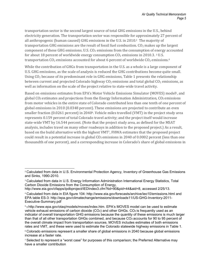transportation sector is the second largest source of total GHG emissions in the U.S., behind electricity generation. The transportation sector was responsible for approximately 27 percent of all anthropogenic (human caused) GHG emissions in the U.S. in 2010.2 The majority of transportation GHG emissions are the result of fossil fuel combustion.  $CO<sub>2</sub>$  makes up the largest component of these GHG emissions. U.S.  $CO<sub>2</sub>$  emissions from the consumption of energy accounted for about 18 percent of worldwide energy consumption  $CO<sub>2</sub>$  emissions in 2010.3.<sup>3</sup> U.S. transportation  $CO_2$  emissions accounted for about 6 percent of worldwide  $CO_2$  emissions.<sup>4</sup>

While the contribution of GHGs from transportation in the U.S. as a whole is a large component of U.S. GHG emissions, as the scale of analysis is reduced the GHG contributions become quite small. Using  $CO<sub>2</sub>$  because of its predominant role in GHG emissions, Table 1 presents the relationship between current and projected Colorado highway  $CO<sub>2</sub>$  emissions and total global  $CO<sub>2</sub>$  emissions, as well as information on the scale of the project relative to state-wide travel activity.

Based on emissions estimates from EPA's Motor Vehicle Emissions Simulator (MOVES) model5, and global CO2 estimates and projections from the Energy Information Administration, CO2 emissions from motor vehicles in the entire state of Colorado contributed less than one tenth of one percent of global emissions in 2010 (0.0348 percent). These emissions are projected to contribute an even smaller fraction (0.0261 percent) in 20406. Vehicle miles travelled (VMT) in the project study area represents 0.159 percent of total Colorado travel activity; and the project itself would increase state-wide VMT by 16.544 percent. (Note that the project study area, as defined for the MSAT analysis, includes travel on many other roadways in addition to the proposed project.) As a result, based on the build alternative with the highest VMT7, FHWA estimates that the proposed project could result in a potential increase in global CO<sub>2</sub> emissions in 2040 of 0.0002 percent (less than one thousandth of one percent), and a corresponding increase in Colorado's share of global emissions in

 <sup>2</sup> Calculated from data in U.S. Environmental Protection Agency, Inventory of Greenhouse Gas Emissions and Sinks, 1990-2010.

<sup>3</sup> Calculated from data in U.S. Energy Information Administration International Energy Statistics, Total Carbon Dioxide Emissions from the Consumption of Energy,

http://www.eia.gov/cfapps/ipdbproject/IEDIndex3.cfm?tid=90&pid=44&aid=8, accessed 2/25/13.

<sup>4</sup> Calculated from data in EIA figure 104: http://www.eia.gov/forecasts/archive/ieo10/emissions.html and EPA table ES-3: http://epa.gov/climatechange/emissions/downloads11/US-GHG-Inventory-2011- Executive-Summary.pdf

<sup>5</sup> 5 http://www.epa.gov/otaq/models/moves/index.htm. EPA's MOVES model can be used to estimate vehicle exhaust emissions of carbon dioxide (CO<sub>2</sub>) and other GHGs. CO<sub>2</sub> is frequently used as an indicator of overall transportation GHG emissions because the quantity of these emissions is much larger than that of all other transportation GHGs combined, and because CO2 accounts for 90 to 95 percent of the overall climate impact from transportation sources. MOVES includes estimates of both emissions rates and VMT, and these were used to estimate the Colorado statewide highway emissions in Table 1.

<sup>&</sup>lt;sup>6</sup> Colorado emissions represent a smaller share of global emissions in 2040 because global emissions increase at a faster rate.

<sup>7</sup> Selected to represent a "worst case" for purposes of this comparison; the Preferred Alternative may have a smaller contribution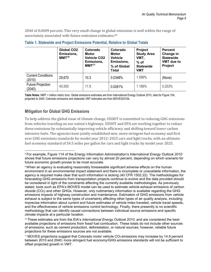2040 of 0.0009 percent. This very small change in global emissions is well within the range of uncertainty associated with future emissions estimates.89

|                                     | <b>Global CO2</b><br>Emissions,<br>$MMT^{10}$ | Colorado<br><b>Motor</b><br><b>Vehicle CO2</b><br>Emissions,<br>MMT <sup>11</sup> | Colorado<br><b>Motor</b><br><b>Vehicle</b><br>Emissions,<br>% of Global<br><b>Total</b> | <b>Project</b><br><b>Study Area</b><br>VMT,<br>$%$ of<br><b>Statewide</b><br><b>VMT</b> | <b>Percent</b><br>Change in<br><b>Statewide</b><br><b>VMT</b> due to<br><b>Project</b> |
|-------------------------------------|-----------------------------------------------|-----------------------------------------------------------------------------------|-----------------------------------------------------------------------------------------|-----------------------------------------------------------------------------------------|----------------------------------------------------------------------------------------|
| <b>Current Conditions</b><br>(2010) | 29,670                                        | 10.3                                                                              | 0.0348%                                                                                 | 1.599%                                                                                  | (None)                                                                                 |
| <b>Future Projection</b><br>(2040)  | 45,500                                        | 11.9                                                                              | 0.0261%                                                                                 | 1.189%                                                                                  | 0.253%                                                                                 |

#### **Table 1. Statewide and Project Emissions Potential, Relative to Global Totals**

**Table Notes**: MMT = million metric tons. Global emissions estimates are from International Energy Outlook 2010, data for Figure 104, projected to 2040. Colorado emissions and statewide VMT estimates are from MOVES2010b.

#### **Mitigation for Global GHG Emissions**

To help address the global issue of climate change, USDOT is committed to reducing GHG emissions from vehicles traveling on our nation's highways. USDOT and EPA are working together to reduce these emissions by substantially improving vehicle efficiency and shifting toward lower carbon intensive fuels. The agencies have jointly established new, more stringent fuel economy and first ever GHG emissions standards for model year 2012–2025 cars and light trucks, with an ultimate fuel economy standard of 54.5 miles per gallon for cars and light trucks by model year 2025.

<sup>10</sup> These estimates are from the EIA's *International Energy Outlook 2010*, and are considered the bestavailable projections of emissions from fossil fuel combustion. These totals do not include other sources of emissions, such as cement production, deforestation, or natural sources; however, reliable future projections for these emissions sources are not available.

 <sup>8</sup> For example, Figure 114 of the Energy Information Administration's *International Energy Outlook 2010*  shows that future emissions projections can vary by almost 20 percent, depending on which scenario for future economic growth proves to be most accurate.

<sup>9</sup> When an agency is evaluating reasonably foreseeable significant adverse effects on the human environment in an environmental impact statement and there is incomplete or unavailable information, the agency is required make clear that such information is lacking (40 CFR 1502.22). The methodologies for forecasting GHG emissions from transportation projects continue to evolve and the data provided should be considered in light of the constraints affecting the currently available methodologies. As previously stated, tools such as EPA's MOVES model can be used to estimate vehicle exhaust emissions of carbon dioxide (CO2) and other GHGs. However, only rudimentary information is available regarding the GHG emissions impacts of highway construction and maintenance. Estimation of GHG emissions from vehicle exhaust is subject to the same types of uncertainty affecting other types of air quality analysis, including imprecise information about current and future estimates of vehicle miles traveled, vehicle travel speeds, and the effectiveness of vehicle emissions control technology. Finally, there presently is no scientific methodology that can identify causal connections between individual source emissions and specific climate impacts at a particular location.

<sup>11</sup> MOVES projections suggest that Colorado motor vehicle CO2 emissions may increase by 14.9 percent between 2010 and 2040; more stringent fuel economy/GHG emissions standards will not be sufficient to offset projected growth in VMT.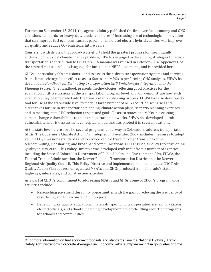Further, on September 15, 2011, the agencies jointly published the first ever fuel economy and GHG emissions standards for heavy-duty trucks and buses.12 Increasing use of technological innovations that can improve fuel economy, such as gasoline- and diesel-electric hybrid vehicles, will improve air quality and reduce  $CO<sub>2</sub>$  emissions future years.

Consistent with its view that broad-scale efforts hold the greatest promise for meaningfully addressing the global climate change problem, FHWA is engaged in developing strategies to reduce transportation's contribution to CDOT's NEPA manual was revised in October 2014. Appendix F of the revised manual includes language for inclusion in NEPA documents, and is provided here.

GHGs—particularly CO2 emissions—and to assess the risks to transportation systems and services from climate change. In an effort to assist States and MPOs in performing GHG analyses, FHWA has developed a *Handbook for Estimating Transportation GHG Emissions for Integration into the Planning Process.* The Handbook presents methodologies reflecting good practices for the evaluation of GHG emissions at the transportation program level, and will demonstrate how such evaluation may be integrated into the transportation planning process. FHWA has also developed a tool for use at the state-wide level to model a large number of GHG reduction scenarios and alternatives for use in transportation planning, climate action plans, scenario planning exercises, and in meeting state GHG reduction targets and goals. To assist states and MPOs in assessing climate change vulnerabilities to their transportation networks, FHWA has developed a draft vulnerability and risk assessment conceptual model and has piloted it in several locations.

At the state level, there are also several programs underway in Colorado to address transportation GHGs. The Governor's Climate Action Plan, adopted in November 2007, includes measures to adopt vehicle CO2 emissions standards and to reduce vehicle travel through transit, flex time, telecommuting, ridesharing, and broadband communications. CDOT issued a Policy Directive on Air Quality in May 2009. This Policy Directive was developed with input from a number of agencies, including the State of Colorado's Department of Public Health and Environment, EPA, FHWA, the Federal Transit Administration, the Denver Regional Transportation District and the Denver Regional Air Quality Council. This Policy Directive and implementation document, the CDOT Air Quality Action Plan address unregulated MSATs and GHGs produced from Colorado's state highways, interstates, and construction activities.

As a part of CDOT's commitment to addressing MSATs and GHGs, some of CDOT's program wide activities include:

- Researching pavement durability opportunities with the goal of reducing the frequency of resurfacing and/or reconstruction projects.
- Developing air quality educational materials, specific to transportation issues, for citizens, elected officials, and schools, including development of vehicle idling reduction programs for schools and communities.

 $12$  For more information on fuel economy proposals and standards, see the National Highway Traffic Safety Administration's Corporate Average Fuel Economy website: http://www.nhtsa.gov/fuel-economy/.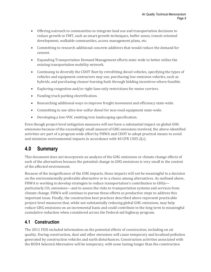- Offering outreach to communities to integrate land use and transportation decisions to reduce growth in VMT, such as smart growth techniques, buffer zones, transit-oriented development, walkable communities, access management plans, etc.
- Committing to research additional concrete additives that would reduce the demand for cement.
- Expanding Transportation Demand Management efforts state-wide to better utilize the existing transportation mobility network.
- Continuing to diversify the CDOT fleet by retrofitting diesel vehicles, specifying the types of vehicles and equipment contractors may use, purchasing low-emission vehicles, such as hybrids, and purchasing cleaner burning fuels through bidding incentives where feasible.
- Exploring congestion and/or right-lane only restrictions for motor carriers.
- Funding truck parking electrification.
- Researching additional ways to improve freight movement and efficiency state-wide.
- Committing to use ultra-low sulfur diesel for non-road equipment state-wide.
- Developing a low-VOC emitting tree landscaping specification.

Even though project-level mitigation measures will not have a substantial impact on global GHG emissions because of the exceedingly small amount of GHG emissions involved, the above-identified activities are part of a program-wide effort by FHWA and CDOT to adopt practical means to avoid and minimize environmental impacts in accordance with 40 CFR 1505.2(c).

### **4.0 Summary**

This document does not incorporate an analysis of the GHG emissions or climate change effects of each of the alternatives because the potential change in GHG emissions is very small in the context of the affected environment.

Because of the insignificance of the GHG impacts, those impacts will not be meaningful to a decision on the environmentally preferable alternative or to a choice among alternatives. As outlined above, FHWA is working to develop strategies to reduce transportation's contribution to GHGs particularly CO2 emissions—and to assess the risks to transportation systems and services from climate change. FHWA will continue to pursue these efforts as productive steps to address this important issue. Finally, the construction best practices described above represent practicable project-level measures that, while not substantially reducing global GHG emissions, may help reduce GHG emissions on an incremental basis and could contribute in the long term to meaningful cumulative reduction when considered across the Federal-aid highway program.

#### **4.1 Construction**

The 2011 FEIS included information on the potential effects of construction, including on air quality. During construction, dust and other emissions will cause temporary and localized pollution generated by construction vehicles and earth disturbances. Construction activities associated with the ROD4 Selected Alternative will be temporary, with none lasting longer than the construction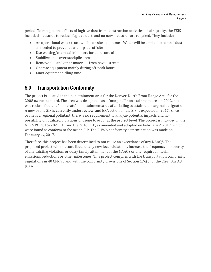period. To mitigate the effects of fugitive dust from construction activities on air quality, the FEIS included measures to reduce fugitive dust, and no new measures are required. They include:

- An operational water truck will be on site at all times. Water will be applied to control dust as needed to prevent dust impacts off site
- Use wetting/chemical inhibitors for dust control
- Stabilize and cover stockpile areas
- Remove soil and other materials from paved streets
- Operate equipment mainly during off-peak hours
- Limit equipment idling time

## **5.0 Transportation Conformity**

The project is located in the nonattainment area for the Denver-North Front Range Area for the 2008 ozone standard. The area was designated as a "marginal" nonattainment area in 2012, but was reclassified to a "moderate" nonattainment area after failing to attain the marginal designation. A new ozone SIP is currently under review, and EPA action on the SIP is expected in 2017. Since ozone is a regional pollutant, there is no requirement to analyze potential impacts and no possibility of localized violations of ozone to occur at the project level. The project is included in the NFRMPO 2016–2021 TIP and the 2040 RTP, as amended and adopted on February 2, 2017, which were found to conform to the ozone SIP. The FHWA conformity determination was made on February xx, 2017.

Therefore, this project has been determined to not cause an exceedance of any NAAQS. The proposed project will not contribute to any new local violations, increase the frequency or severity of any existing violation, or delay timely attainment of the NAAQS or any required interim emissions reductions or other milestones. This project complies with the transportation conformity regulations in 40 CFR 93 and with the conformity provisions of Section 176(c) of the Clean Air Act (CAA)